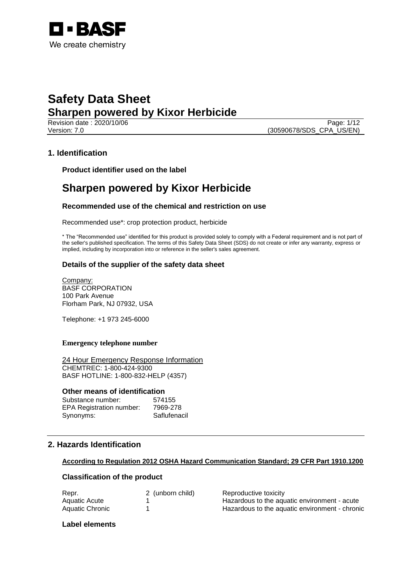

Page: 1/12 Version: 7.0 (30590678/SDS\_CPA\_US/EN)

## **1. Identification**

**Product identifier used on the label**

# **Sharpen powered by Kixor Herbicide**

## **Recommended use of the chemical and restriction on use**

Recommended use\*: crop protection product, herbicide

\* The "Recommended use" identified for this product is provided solely to comply with a Federal requirement and is not part of the seller's published specification. The terms of this Safety Data Sheet (SDS) do not create or infer any warranty, express or implied, including by incorporation into or reference in the seller's sales agreement.

## **Details of the supplier of the safety data sheet**

Company: BASF CORPORATION 100 Park Avenue Florham Park, NJ 07932, USA

Telephone: +1 973 245-6000

#### **Emergency telephone number**

24 Hour Emergency Response Information CHEMTREC: 1-800-424-9300 BASF HOTLINE: 1-800-832-HELP (4357)

#### **Other means of identification**

| Substance number:               | 574155       |
|---------------------------------|--------------|
| <b>EPA Registration number:</b> | 7969-278     |
| Synonyms:                       | Saflufenacil |

## **2. Hazards Identification**

## **According to Regulation 2012 OSHA Hazard Communication Standard; 29 CFR Part 1910.1200**

## **Classification of the product**

| Repr.           | 2 (unborn child) | Reproductive toxicity                          |
|-----------------|------------------|------------------------------------------------|
| Aquatic Acute   |                  | Hazardous to the aquatic environment - acute   |
| Aquatic Chronic |                  | Hazardous to the aquatic environment - chronic |

#### **Label elements**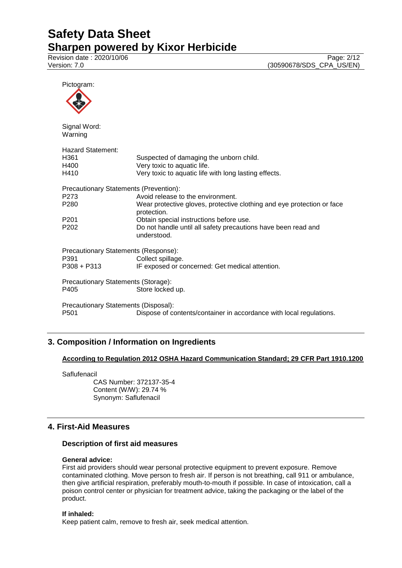Revision date : 2020/10/06 Page: 2/12 Version: 7.0 (30590678/SDS\_CPA\_US/EN)

Pictogram:



Signal Word: Warning

| <b>Hazard Statement:</b><br>H361<br>H400<br>H410                                                                    | Suspected of damaging the unborn child.<br>Very toxic to aquatic life.<br>Very toxic to aquatic life with long lasting effects. |  |
|---------------------------------------------------------------------------------------------------------------------|---------------------------------------------------------------------------------------------------------------------------------|--|
| <b>Precautionary Statements (Prevention):</b>                                                                       |                                                                                                                                 |  |
| P273                                                                                                                | Avoid release to the environment.                                                                                               |  |
| P280                                                                                                                | Wear protective gloves, protective clothing and eye protection or face<br>protection.                                           |  |
| P201                                                                                                                | Obtain special instructions before use.                                                                                         |  |
| P202                                                                                                                | Do not handle until all safety precautions have been read and<br>understood.                                                    |  |
| Precautionary Statements (Response):                                                                                |                                                                                                                                 |  |
| P391                                                                                                                | Collect spillage.                                                                                                               |  |
| P308 + P313                                                                                                         | IF exposed or concerned: Get medical attention.                                                                                 |  |
| Precautionary Statements (Storage):                                                                                 |                                                                                                                                 |  |
| P405                                                                                                                | Store locked up.                                                                                                                |  |
| Precautionary Statements (Disposal):<br>P501<br>Dispose of contents/container in accordance with local regulations. |                                                                                                                                 |  |
|                                                                                                                     |                                                                                                                                 |  |

# **3. Composition / Information on Ingredients**

## **According to Regulation 2012 OSHA Hazard Communication Standard; 29 CFR Part 1910.1200**

**Saflufenacil** 

CAS Number: 372137-35-4 Content (W/W): 29.74 % Synonym: Saflufenacil

# **4. First-Aid Measures**

## **Description of first aid measures**

## **General advice:**

First aid providers should wear personal protective equipment to prevent exposure. Remove contaminated clothing. Move person to fresh air. If person is not breathing, call 911 or ambulance, then give artificial respiration, preferably mouth-to-mouth if possible. In case of intoxication, call a poison control center or physician for treatment advice, taking the packaging or the label of the product.

## **If inhaled:**

Keep patient calm, remove to fresh air, seek medical attention.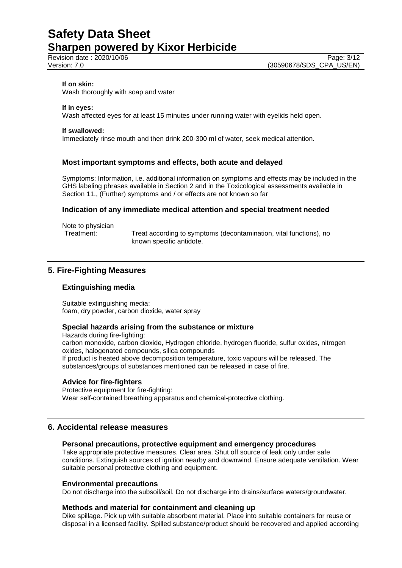#### **If on skin:**

Wash thoroughly with soap and water

#### **If in eyes:**

Wash affected eyes for at least 15 minutes under running water with eyelids held open.

#### **If swallowed:**

Immediately rinse mouth and then drink 200-300 ml of water, seek medical attention.

#### **Most important symptoms and effects, both acute and delayed**

Symptoms: Information, i.e. additional information on symptoms and effects may be included in the GHS labeling phrases available in Section 2 and in the Toxicological assessments available in Section 11., (Further) symptoms and / or effects are not known so far

#### **Indication of any immediate medical attention and special treatment needed**

Note to physician<br>Treatment:

Treat according to symptoms (decontamination, vital functions), no known specific antidote.

## **5. Fire-Fighting Measures**

## **Extinguishing media**

Suitable extinguishing media: foam, dry powder, carbon dioxide, water spray

#### **Special hazards arising from the substance or mixture**

Hazards during fire-fighting: carbon monoxide, carbon dioxide, Hydrogen chloride, hydrogen fluoride, sulfur oxides, nitrogen oxides, halogenated compounds, silica compounds If product is heated above decomposition temperature, toxic vapours will be released. The substances/groups of substances mentioned can be released in case of fire.

## **Advice for fire-fighters**

Protective equipment for fire-fighting: Wear self-contained breathing apparatus and chemical-protective clothing.

## **6. Accidental release measures**

#### **Personal precautions, protective equipment and emergency procedures**

Take appropriate protective measures. Clear area. Shut off source of leak only under safe conditions. Extinguish sources of ignition nearby and downwind. Ensure adequate ventilation. Wear suitable personal protective clothing and equipment.

#### **Environmental precautions**

Do not discharge into the subsoil/soil. Do not discharge into drains/surface waters/groundwater.

#### **Methods and material for containment and cleaning up**

Dike spillage. Pick up with suitable absorbent material. Place into suitable containers for reuse or disposal in a licensed facility. Spilled substance/product should be recovered and applied according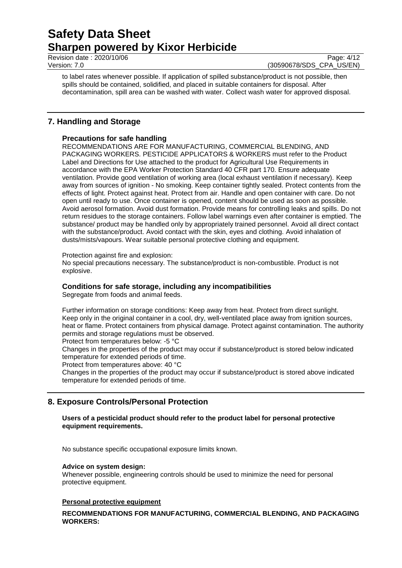Revision date : 2020/10/06 Page: 4/12<br>Version: 7.0 (30590678/SDS CPA US/EN)

(30590678/SDS\_CPA\_US/EN)

to label rates whenever possible. If application of spilled substance/product is not possible, then spills should be contained, solidified, and placed in suitable containers for disposal. After decontamination, spill area can be washed with water. Collect wash water for approved disposal.

## **7. Handling and Storage**

## **Precautions for safe handling**

RECOMMENDATIONS ARE FOR MANUFACTURING, COMMERCIAL BLENDING, AND PACKAGING WORKERS. PESTICIDE APPLICATORS & WORKERS must refer to the Product Label and Directions for Use attached to the product for Agricultural Use Requirements in accordance with the EPA Worker Protection Standard 40 CFR part 170. Ensure adequate ventilation. Provide good ventilation of working area (local exhaust ventilation if necessary). Keep away from sources of ignition - No smoking. Keep container tightly sealed. Protect contents from the effects of light. Protect against heat. Protect from air. Handle and open container with care. Do not open until ready to use. Once container is opened, content should be used as soon as possible. Avoid aerosol formation. Avoid dust formation. Provide means for controlling leaks and spills. Do not return residues to the storage containers. Follow label warnings even after container is emptied. The substance/ product may be handled only by appropriately trained personnel. Avoid all direct contact with the substance/product. Avoid contact with the skin, eyes and clothing. Avoid inhalation of dusts/mists/vapours. Wear suitable personal protective clothing and equipment.

Protection against fire and explosion:

No special precautions necessary. The substance/product is non-combustible. Product is not explosive.

#### **Conditions for safe storage, including any incompatibilities**

Segregate from foods and animal feeds.

Further information on storage conditions: Keep away from heat. Protect from direct sunlight. Keep only in the original container in a cool, dry, well-ventilated place away from ignition sources, heat or flame. Protect containers from physical damage. Protect against contamination. The authority permits and storage regulations must be observed.

Protect from temperatures below: -5 °C

Changes in the properties of the product may occur if substance/product is stored below indicated temperature for extended periods of time.

Protect from temperatures above: 40 °C

Changes in the properties of the product may occur if substance/product is stored above indicated temperature for extended periods of time.

## **8. Exposure Controls/Personal Protection**

**Users of a pesticidal product should refer to the product label for personal protective equipment requirements.**

No substance specific occupational exposure limits known.

#### **Advice on system design:**

Whenever possible, engineering controls should be used to minimize the need for personal protective equipment.

#### **Personal protective equipment**

**RECOMMENDATIONS FOR MANUFACTURING, COMMERCIAL BLENDING, AND PACKAGING WORKERS:**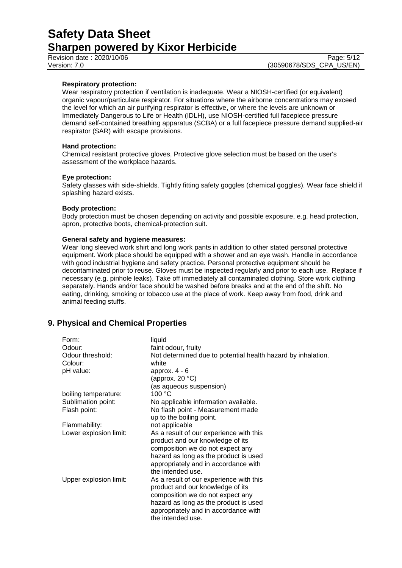Revision date : 2020/10/06 Page: 5/12<br>Version: 7.0 (30590678/SDS CPA US/EN)

## **Respiratory protection:**

Wear respiratory protection if ventilation is inadequate. Wear a NIOSH-certified (or equivalent) organic vapour/particulate respirator. For situations where the airborne concentrations may exceed the level for which an air purifying respirator is effective, or where the levels are unknown or Immediately Dangerous to Life or Health (IDLH), use NIOSH-certified full facepiece pressure demand self-contained breathing apparatus (SCBA) or a full facepiece pressure demand supplied-air respirator (SAR) with escape provisions.

#### **Hand protection:**

Chemical resistant protective gloves, Protective glove selection must be based on the user's assessment of the workplace hazards.

#### **Eye protection:**

Safety glasses with side-shields. Tightly fitting safety goggles (chemical goggles). Wear face shield if splashing hazard exists.

#### **Body protection:**

Body protection must be chosen depending on activity and possible exposure, e.g. head protection, apron, protective boots, chemical-protection suit.

#### **General safety and hygiene measures:**

Wear long sleeved work shirt and long work pants in addition to other stated personal protective equipment. Work place should be equipped with a shower and an eye wash. Handle in accordance with good industrial hygiene and safety practice. Personal protective equipment should be decontaminated prior to reuse. Gloves must be inspected regularly and prior to each use. Replace if necessary (e.g. pinhole leaks). Take off immediately all contaminated clothing. Store work clothing separately. Hands and/or face should be washed before breaks and at the end of the shift. No eating, drinking, smoking or tobacco use at the place of work. Keep away from food, drink and animal feeding stuffs.

## **9. Physical and Chemical Properties**

| Form:                  | liquid                                                       |
|------------------------|--------------------------------------------------------------|
| Odour:                 | faint odour, fruity                                          |
| Odour threshold:       | Not determined due to potential health hazard by inhalation. |
| Colour:                | white                                                        |
| pH value:              | approx. $4 - 6$                                              |
|                        | (approx. 20 $°C$ )                                           |
|                        | (as aqueous suspension)                                      |
| boiling temperature:   | 100 °C                                                       |
| Sublimation point:     | No applicable information available.                         |
| Flash point:           | No flash point - Measurement made                            |
|                        | up to the boiling point.                                     |
| Flammability:          | not applicable                                               |
| Lower explosion limit: | As a result of our experience with this                      |
|                        | product and our knowledge of its                             |
|                        | composition we do not expect any                             |
|                        | hazard as long as the product is used                        |
|                        | appropriately and in accordance with                         |
|                        | the intended use.                                            |
| Upper explosion limit: | As a result of our experience with this                      |
|                        | product and our knowledge of its                             |
|                        | composition we do not expect any                             |
|                        | hazard as long as the product is used                        |
|                        | appropriately and in accordance with                         |
|                        | the intended use.                                            |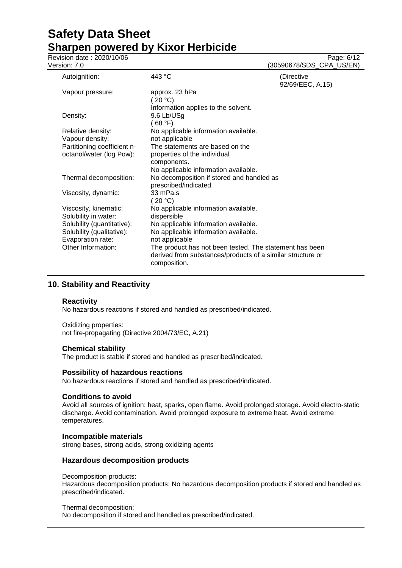Revision date : 2020/10/06 Page: 6/12<br>Version: 7.0 (30590678/SDS CPA US/EN) (30590678/SDS\_CPA\_US/EN)

| Autoignition:               | 443 °C                                                                     | (Directive<br>92/69/EEC, A.15) |
|-----------------------------|----------------------------------------------------------------------------|--------------------------------|
| Vapour pressure:            | approx. 23 hPa<br>(20 °C)                                                  |                                |
| Density:                    | Information applies to the solvent.<br>9.6 Lb/USg                          |                                |
|                             | (68 °F)                                                                    |                                |
| Relative density:           | No applicable information available.                                       |                                |
| Vapour density:             | not applicable                                                             |                                |
| Partitioning coefficient n- | The statements are based on the                                            |                                |
| octanol/water (log Pow):    | properties of the individual                                               |                                |
|                             | components.                                                                |                                |
|                             | No applicable information available.                                       |                                |
| Thermal decomposition:      | No decomposition if stored and handled as                                  |                                |
|                             | prescribed/indicated.                                                      |                                |
| Viscosity, dynamic:         | 33 mPa.s                                                                   |                                |
|                             | (20 °C)                                                                    |                                |
| Viscosity, kinematic:       | No applicable information available.                                       |                                |
| Solubility in water:        | dispersible                                                                |                                |
| Solubility (quantitative):  | No applicable information available.                                       |                                |
| Solubility (qualitative):   | No applicable information available.                                       |                                |
| Evaporation rate:           | not applicable                                                             |                                |
| Other Information:          | The product has not been tested. The statement has been                    |                                |
|                             | derived from substances/products of a similar structure or<br>composition. |                                |
|                             |                                                                            |                                |

# **10. Stability and Reactivity**

## **Reactivity**

No hazardous reactions if stored and handled as prescribed/indicated.

# Oxidizing properties:

not fire-propagating (Directive 2004/73/EC, A.21)

## **Chemical stability**

The product is stable if stored and handled as prescribed/indicated.

## **Possibility of hazardous reactions**

No hazardous reactions if stored and handled as prescribed/indicated.

## **Conditions to avoid**

Avoid all sources of ignition: heat, sparks, open flame. Avoid prolonged storage. Avoid electro-static discharge. Avoid contamination. Avoid prolonged exposure to extreme heat. Avoid extreme temperatures.

#### **Incompatible materials**

strong bases, strong acids, strong oxidizing agents

## **Hazardous decomposition products**

Decomposition products:

Hazardous decomposition products: No hazardous decomposition products if stored and handled as prescribed/indicated.

Thermal decomposition: No decomposition if stored and handled as prescribed/indicated.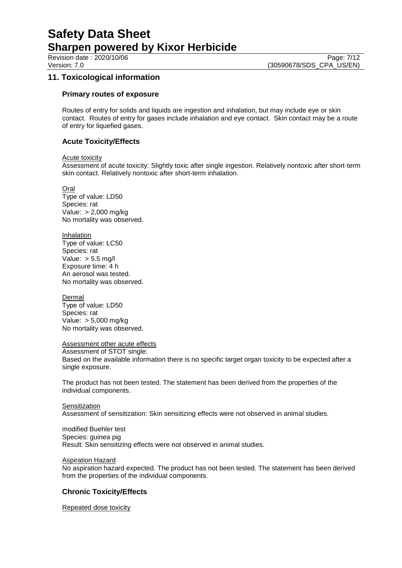Revision date : 2020/10/06 Page: 7/12<br>Version: 7.0 (30590678/SDS CPA US/EN) (30590678/SDS\_CPA\_US/EN)

## **11. Toxicological information**

#### **Primary routes of exposure**

Routes of entry for solids and liquids are ingestion and inhalation, but may include eye or skin contact. Routes of entry for gases include inhalation and eye contact. Skin contact may be a route of entry for liquefied gases.

## **Acute Toxicity/Effects**

Acute toxicity

Assessment of acute toxicity: Slightly toxic after single ingestion. Relatively nontoxic after short-term skin contact. Relatively nontoxic after short-term inhalation.

Oral

Type of value: LD50 Species: rat Value: > 2,000 mg/kg No mortality was observed.

Inhalation Type of value: LC50 Species: rat Value:  $> 5.5$  mg/l Exposure time: 4 h An aerosol was tested. No mortality was observed.

Dermal

Type of value: LD50 Species: rat Value: > 5,000 mg/kg No mortality was observed.

#### Assessment other acute effects

Assessment of STOT single: Based on the available information there is no specific target organ toxicity to be expected after a single exposure.

The product has not been tested. The statement has been derived from the properties of the individual components.

#### **Sensitization**

Assessment of sensitization: Skin sensitizing effects were not observed in animal studies.

modified Buehler test Species: guinea pig Result: Skin sensitizing effects were not observed in animal studies.

#### **Aspiration Hazard**

No aspiration hazard expected. The product has not been tested. The statement has been derived from the properties of the individual components.

## **Chronic Toxicity/Effects**

Repeated dose toxicity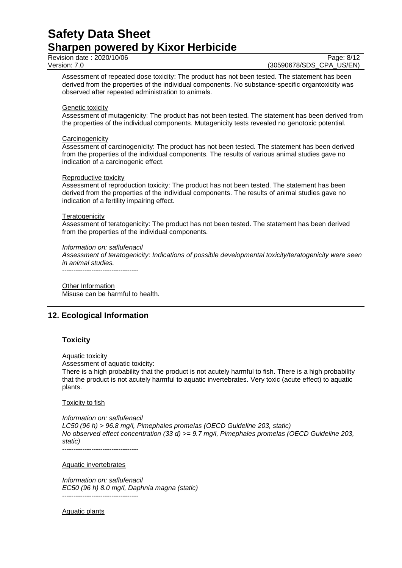Revision date : 2020/10/06 Page: 8/12<br>Version: 7.0 (30590678/SDS CPA US/EN)

(30590678/SDS CPA US/EN)

Assessment of repeated dose toxicity: The product has not been tested. The statement has been derived from the properties of the individual components. No substance-specific organtoxicity was observed after repeated administration to animals.

#### Genetic toxicity

Assessment of mutagenicity: The product has not been tested. The statement has been derived from the properties of the individual components. Mutagenicity tests revealed no genotoxic potential.

#### **Carcinogenicity**

Assessment of carcinogenicity: The product has not been tested. The statement has been derived from the properties of the individual components. The results of various animal studies gave no indication of a carcinogenic effect.

#### Reproductive toxicity

Assessment of reproduction toxicity: The product has not been tested. The statement has been derived from the properties of the individual components. The results of animal studies gave no indication of a fertility impairing effect.

#### **Teratogenicity**

Assessment of teratogenicity: The product has not been tested. The statement has been derived from the properties of the individual components.

#### *Information on: saflufenacil*

*Assessment of teratogenicity: Indications of possible developmental toxicity/teratogenicity were seen in animal studies.*

----------------------------------

Other Information Misuse can be harmful to health.

## **12. Ecological Information**

## **Toxicity**

Aquatic toxicity

Assessment of aquatic toxicity:

There is a high probability that the product is not acutely harmful to fish. There is a high probability that the product is not acutely harmful to aquatic invertebrates. Very toxic (acute effect) to aquatic plants.

#### Toxicity to fish

*Information on: saflufenacil LC50 (96 h) > 96.8 mg/l, Pimephales promelas (OECD Guideline 203, static) No observed effect concentration (33 d) >= 9.7 mg/l, Pimephales promelas (OECD Guideline 203, static)*

----------------------------------

Aquatic invertebrates

*Information on: saflufenacil EC50 (96 h) 8.0 mg/l, Daphnia magna (static)* ----------------------------------

Aquatic plants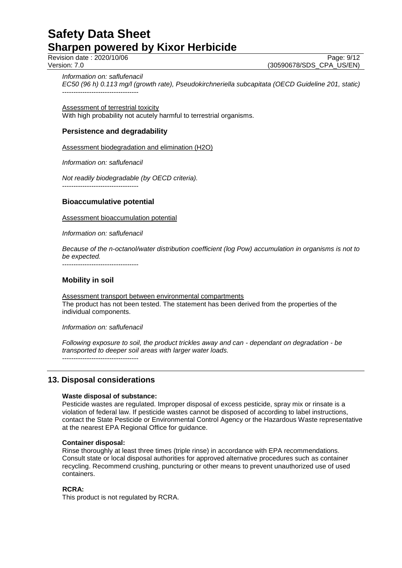Revision date : 2020/10/06 Page: 9/12<br>Version: 7.0 (30590678/SDS CPA US/EN) (30590678/SDS\_CPA\_US/EN)

*Information on: saflufenacil*

*EC50 (96 h) 0.113 mg/l (growth rate), Pseudokirchneriella subcapitata (OECD Guideline 201, static)* ----------------------------------

Assessment of terrestrial toxicity With high probability not acutely harmful to terrestrial organisms.

## **Persistence and degradability**

Assessment biodegradation and elimination (H2O)

*Information on: saflufenacil*

*Not readily biodegradable (by OECD criteria).* ----------------------------------

## **Bioaccumulative potential**

Assessment bioaccumulation potential

*Information on: saflufenacil*

*Because of the n-octanol/water distribution coefficient (log Pow) accumulation in organisms is not to be expected.*

----------------------------------

## **Mobility in soil**

Assessment transport between environmental compartments The product has not been tested. The statement has been derived from the properties of the individual components.

*Information on: saflufenacil*

*Following exposure to soil, the product trickles away and can - dependant on degradation - be transported to deeper soil areas with larger water loads.* ----------------------------------

## **13. Disposal considerations**

## **Waste disposal of substance:**

Pesticide wastes are regulated. Improper disposal of excess pesticide, spray mix or rinsate is a violation of federal law. If pesticide wastes cannot be disposed of according to label instructions, contact the State Pesticide or Environmental Control Agency or the Hazardous Waste representative at the nearest EPA Regional Office for guidance.

#### **Container disposal:**

Rinse thoroughly at least three times (triple rinse) in accordance with EPA recommendations. Consult state or local disposal authorities for approved alternative procedures such as container recycling. Recommend crushing, puncturing or other means to prevent unauthorized use of used containers.

#### **RCRA:**

This product is not regulated by RCRA.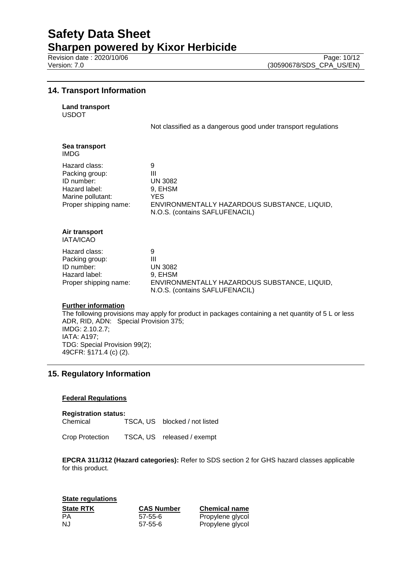# **Safety Data Sheet**

**Sharpen powered by Kixor Herbicide**

## **14. Transport Information**

| <b>Land transport</b> |
|-----------------------|
|                       |

USDOT

Not classified as a dangerous good under transport regulations

| Sea transport<br>IMDG                                                                                        |                                                                                                                               |
|--------------------------------------------------------------------------------------------------------------|-------------------------------------------------------------------------------------------------------------------------------|
| Hazard class:<br>Packing group:<br>ID number:<br>Hazard label:<br>Marine pollutant:<br>Proper shipping name: | 9<br>Ш<br><b>UN 3082</b><br>9, EHSM<br>YES.<br>ENVIRONMENTALLY HAZARDOUS SUBSTANCE, LIQUID,<br>N.O.S. (contains SAFLUFENACIL) |
| Air transport<br><b>IATA/ICAO</b>                                                                            |                                                                                                                               |
| Hazard class:<br>Packing group:<br>ID number:<br>Hazard label:<br>Proper shipping name:                      | 9<br>Ш<br><b>UN 3082</b><br>9, EHSM<br>ENVIRONMENTALLY HAZARDOUS SUBSTANCE, LIQUID,<br>N.O.S. (contains SAFLUFENACIL)         |
|                                                                                                              |                                                                                                                               |

#### **Further information**

The following provisions may apply for product in packages containing a net quantity of 5 L or less ADR, RID, ADN: Special Provision 375; IMDG: 2.10.2.7; IATA: A197; TDG: Special Provision 99(2); 49CFR: §171.4 (c) (2).

# **15. Regulatory Information**

## **Federal Regulations**

**Registration status:** Chemical TSCA, US blocked / not listed

Crop Protection TSCA, US released / exempt

**EPCRA 311/312 (Hazard categories):** Refer to SDS section 2 for GHS hazard classes applicable for this product.

**State regulations State RTK CAS Number Chemical name** PA 57-55-6 Propylene glycol NJ 57-55-6 Propylene glycol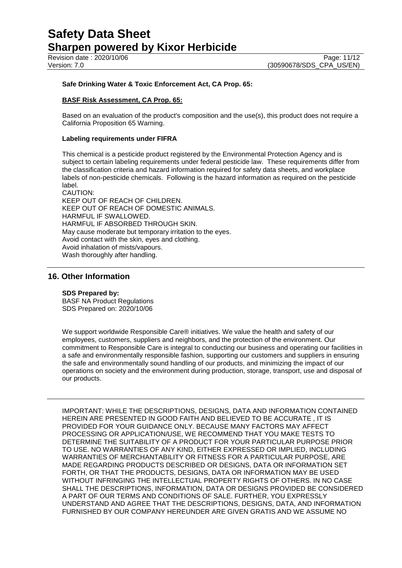Revision date : 2020/10/06 Page: 11/12<br>Version: 7.0 (30590678/SDS CPA US/EN)

#### **Safe Drinking Water & Toxic Enforcement Act, CA Prop. 65:**

## **BASF Risk Assessment, CA Prop. 65:**

Based on an evaluation of the product's composition and the use(s), this product does not require a California Proposition 65 Warning.

#### **Labeling requirements under FIFRA**

This chemical is a pesticide product registered by the Environmental Protection Agency and is subject to certain labeling requirements under federal pesticide law. These requirements differ from the classification criteria and hazard information required for safety data sheets, and workplace labels of non-pesticide chemicals. Following is the hazard information as required on the pesticide label.

CAUTION: KEEP OUT OF REACH OF CHILDREN. KEEP OUT OF REACH OF DOMESTIC ANIMALS. HARMFUL IF SWALLOWED. HARMFUL IF ABSORBED THROUGH SKIN. May cause moderate but temporary irritation to the eyes. Avoid contact with the skin, eyes and clothing. Avoid inhalation of mists/vapours. Wash thoroughly after handling.

## **16. Other Information**

#### **SDS Prepared by:**

BASF NA Product Regulations SDS Prepared on: 2020/10/06

We support worldwide Responsible Care® initiatives. We value the health and safety of our employees, customers, suppliers and neighbors, and the protection of the environment. Our commitment to Responsible Care is integral to conducting our business and operating our facilities in a safe and environmentally responsible fashion, supporting our customers and suppliers in ensuring the safe and environmentally sound handling of our products, and minimizing the impact of our operations on society and the environment during production, storage, transport, use and disposal of our products.

IMPORTANT: WHILE THE DESCRIPTIONS, DESIGNS, DATA AND INFORMATION CONTAINED HEREIN ARE PRESENTED IN GOOD FAITH AND BELIEVED TO BE ACCURATE , IT IS PROVIDED FOR YOUR GUIDANCE ONLY. BECAUSE MANY FACTORS MAY AFFECT PROCESSING OR APPLICATION/USE, WE RECOMMEND THAT YOU MAKE TESTS TO DETERMINE THE SUITABILITY OF A PRODUCT FOR YOUR PARTICULAR PURPOSE PRIOR TO USE. NO WARRANTIES OF ANY KIND, EITHER EXPRESSED OR IMPLIED, INCLUDING WARRANTIES OF MERCHANTABILITY OR FITNESS FOR A PARTICULAR PURPOSE, ARE MADE REGARDING PRODUCTS DESCRIBED OR DESIGNS, DATA OR INFORMATION SET FORTH, OR THAT THE PRODUCTS, DESIGNS, DATA OR INFORMATION MAY BE USED WITHOUT INFRINGING THE INTELLECTUAL PROPERTY RIGHTS OF OTHERS. IN NO CASE SHALL THE DESCRIPTIONS, INFORMATION, DATA OR DESIGNS PROVIDED BE CONSIDERED A PART OF OUR TERMS AND CONDITIONS OF SALE. FURTHER, YOU EXPRESSLY UNDERSTAND AND AGREE THAT THE DESCRIPTIONS, DESIGNS, DATA, AND INFORMATION FURNISHED BY OUR COMPANY HEREUNDER ARE GIVEN GRATIS AND WE ASSUME NO